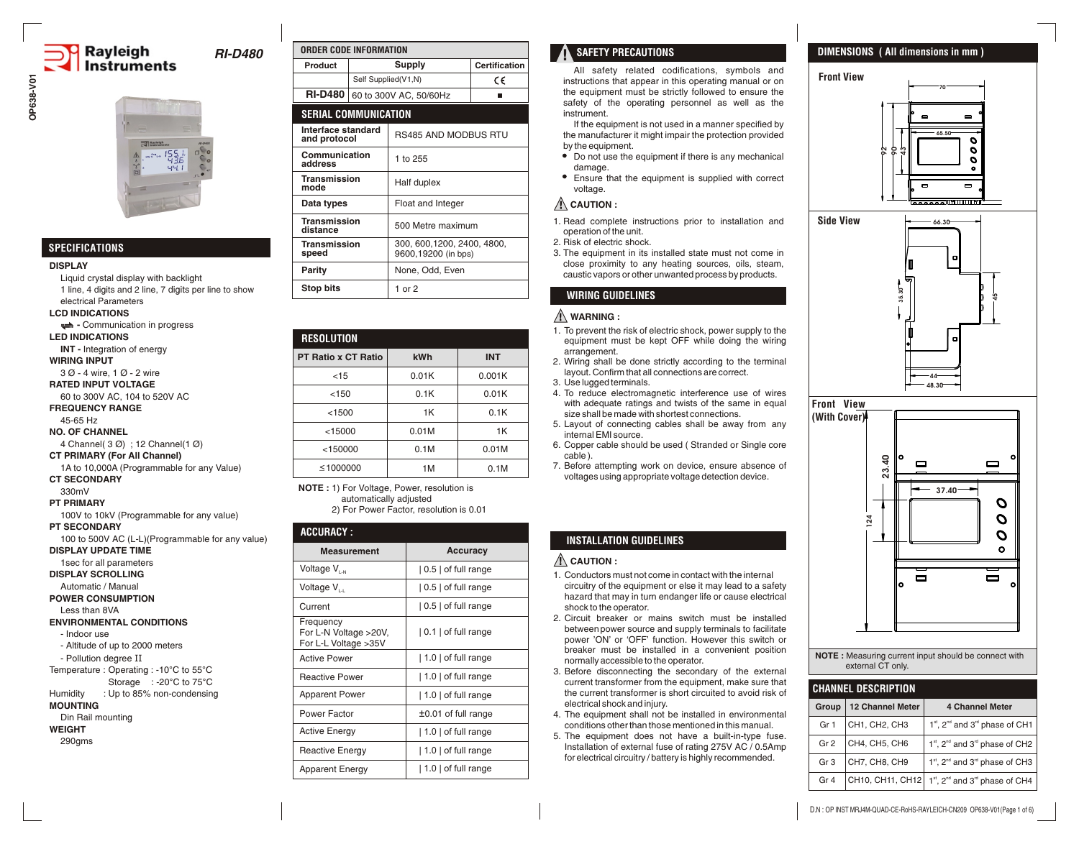# **Rayleigh Instruments**

*RI-D480*

## **SPECIFICATIONS**

#### **DISPLAY**

Liquid crystal display with backlight 1 line, 4 digits and 2 line, 7 digits per line to show electrical Parameters **LCD INDICATIONS - Communication in progress LED INDICATIONS INT -** Integration of energy **WIRING INPUT** 3 Ø - 4 wire, 1 Ø - 2 wire **RATED INPUT VOLTAGE** 60 to 300V AC, 104 to 520V AC **FREQUENCY RANGE** 45-65 Hz **NO. OF CHANNEL** 4 Channel( 3 Ø) ; 12 Channel(1 Ø) **CT PRIMARY (For All Channel)**

1A to 10,000A (Programmable for any Value) **CT SECONDARY**

330mV

### **PT PRIMARY**

100V to 10kV (Programmable for any value)

**PT SECONDARY**

100 to 500V AC (L-L)(Programmable for any value)

**DISPLAY UPDATE TIME** 1sec for all parameters

**DISPLAY SCROLLING** 

Automatic / Manual

**POWER CONSUMPTION**

Less than 8VA

#### **ENVIRONMENTAL CONDITIONS** - Indoor use

- Altitude of up to 2000 meters - Pollution degree II

Temperature : Operating : -10°C to 55°C

Storage : -20°C to 75°C

#### Humidity : Up to 85% non-condensing **MOUNTING**

Din Rail mounting

**WEIGHT**

290gms

| ORDER CODE INFORMATION             |               |                                                    |                      |
|------------------------------------|---------------|----------------------------------------------------|----------------------|
| Product                            | <b>Supply</b> |                                                    | <b>Certification</b> |
|                                    |               | Self Supplied(V1,N)                                | C€                   |
| <b>RI-D480</b>                     |               | 60 to 300V AC, 50/60Hz                             |                      |
| <b>SERIAL COMMUNICATION</b>        |               |                                                    |                      |
| Interface standard<br>and protocol |               | <b>RS485 AND MODBUS RTU</b>                        |                      |
| Communication<br>address           |               | 1 to 255                                           |                      |
| Transmission<br>mode               |               | Half duplex                                        |                      |
| Data types                         |               | Float and Integer                                  |                      |
| <b>Transmission</b><br>distance    |               | 500 Metre maximum                                  |                      |
| <b>Transmission</b><br>speed       |               | 300, 600, 1200, 2400, 4800,<br>9600,19200 (in bps) |                      |
| Parity                             |               | None, Odd, Even                                    |                      |
| <b>Stop bits</b>                   |               | 1 or 2                                             |                      |

| <b>RESOLUTION</b>          |       |            |  |
|----------------------------|-------|------------|--|
| <b>PT Ratio x CT Ratio</b> | kWh   | <b>INT</b> |  |
| < 15                       | 0.01K | 0.001K     |  |
| < 150                      | 0.1K  | 0.01K      |  |
| < 1500                     | 1K    | 0.1K       |  |
| < 15000                    | 0.01M | 1K         |  |
| < 150000                   | 0.1M  | 0.01M      |  |
| < 1000000                  | 1M    | 0.1M       |  |

**NOTE :** 1) For Voltage, Power, resolution is automatically adjusted 2) For Power Factor, resolution is 0.01

# **ACCURACY :**

| <b>Measurement</b>                                         | <b>Accuracy</b>                 |
|------------------------------------------------------------|---------------------------------|
| Voltage V <sub>I-N</sub>                                   | 0.5   of full range             |
| Voltage V <sub>IJ</sub>                                    | $\vert 0.5 \vert$ of full range |
| Current                                                    | $\vert 0.5 \vert$ of full range |
| Frequency<br>For L-N Voltage >20V,<br>For L-L Voltage >35V | 0.1   of full range             |
| <b>Active Power</b>                                        | 1.0   of full range             |
| <b>Reactive Power</b>                                      | 1.0   of full range             |
| <b>Apparent Power</b>                                      | 1.0   of full range             |
| Power Factor                                               | $±0.01$ of full range           |
| <b>Active Energy</b>                                       | $ 1.0 $ of full range           |
| Reactive Energy                                            | 1.0   of full range             |
| <b>Apparent Energy</b>                                     | $ 1.0 $ of full range           |

# **SAFETY PRECAUTIONS**

All safety related codifications, symbols and instructions that appear in this operating manual or on the equipment must be strictly followed to ensure the safety of the operating personnel as well as the instrument.

If the equipment is not used in a manner specified by the manufacturer it might impair the protection provided by the equipment.

- Do not use the equipment if there is any mechanical damage.
- Ensure that the equipment is supplied with correct voltage.

# **CAUTION :**

1. Read complete instructions prior to installation and operation of the unit.

2. Risk of electric shock.

3. The equipment in its installed state must not come in close proximity to any heating sources, oils, steam, caustic vapors or other unwanted process by products.

# **WIRING GUIDELINES**

### **WARNING :**

- 1. To prevent the risk of electric shock, power supply to the equipment must be kept OFF while doing the wiring arrangement.
- 2. Wiring shall be done strictly according to the terminal layout. Confirm that all connections are correct.
- 3. Use lugged terminals.
- 4. To reduce electromagnetic interference use of wires with adequate ratings and twists of the same in equal size shall be made with shortest connections.
- 5. Layout of connecting cables shall be away from any internal EMI source.
- 6. Copper cable should be used ( Stranded or Single core cable ).
- 7. Before attempting work on device, ensure absence of voltages using appropriate voltage detection device.

## **INSTALLATION GUIDELINES**

### **CAUTION :**

- 1. Conductors must not come in contact with the internal circuitry of the equipment or else it may lead to a safety hazard that may in turn endanger life or cause electrical shock to the operator.
- 2. Circuit breaker or mains switch must be installed between power source and supply terminals to facilitate power 'ON' or 'OFF' function. However this switch or breaker must be installed in a convenient position normally accessible to the operator.
- . 3 Before disconnecting the secondary of the external current transformer from the equipment, make sure that the current transformer is short circuited to avoid risk of electrical shock and injury.
- 4. The equipment shall not be installed in environmental conditions other than those mentioned in this manual.
- . The equipment does not have a built-in-type fuse. 5 Installation of external fuse of rating 275V AC / 0.5Amp for electrical circuitry / battery is highly recommended.

## **DIMENSIONS ( All dimensions in mm )**

**Front View 70**  $\blacksquare$ **65.50**  $\bullet$  $\boldsymbol{c}$ **90 92 43**  $\mathbf{o}$ <del>लाणामान</del>





**NOTE :** Measuring current input should be connect with external CT only.

| <b>CHANNEL DESCRIPTION</b> |                  |                                                                    |  |  |
|----------------------------|------------------|--------------------------------------------------------------------|--|--|
| Group                      | 12 Channel Meter | <b>4 Channel Meter</b>                                             |  |  |
| Gr <sub>1</sub>            | CH1, CH2, CH3    | 1 <sup>st</sup> , 2 <sup>nd</sup> and 3 <sup>rd</sup> phase of CH1 |  |  |
| Gr <sub>2</sub>            | CH4, CH5, CH6    | $1st$ , $2nd$ and $3rd$ phase of CH2                               |  |  |
| Gr <sub>3</sub>            | CH7, CH8, CH9    | 1 <sup>st</sup> , 2 <sup>nd</sup> and 3 <sup>rd</sup> phase of CH3 |  |  |
| Gr <sub>4</sub>            | CH10, CH11, CH12 | 1st, 2 <sup>nd</sup> and 3 <sup>rd</sup> phase of CH4              |  |  |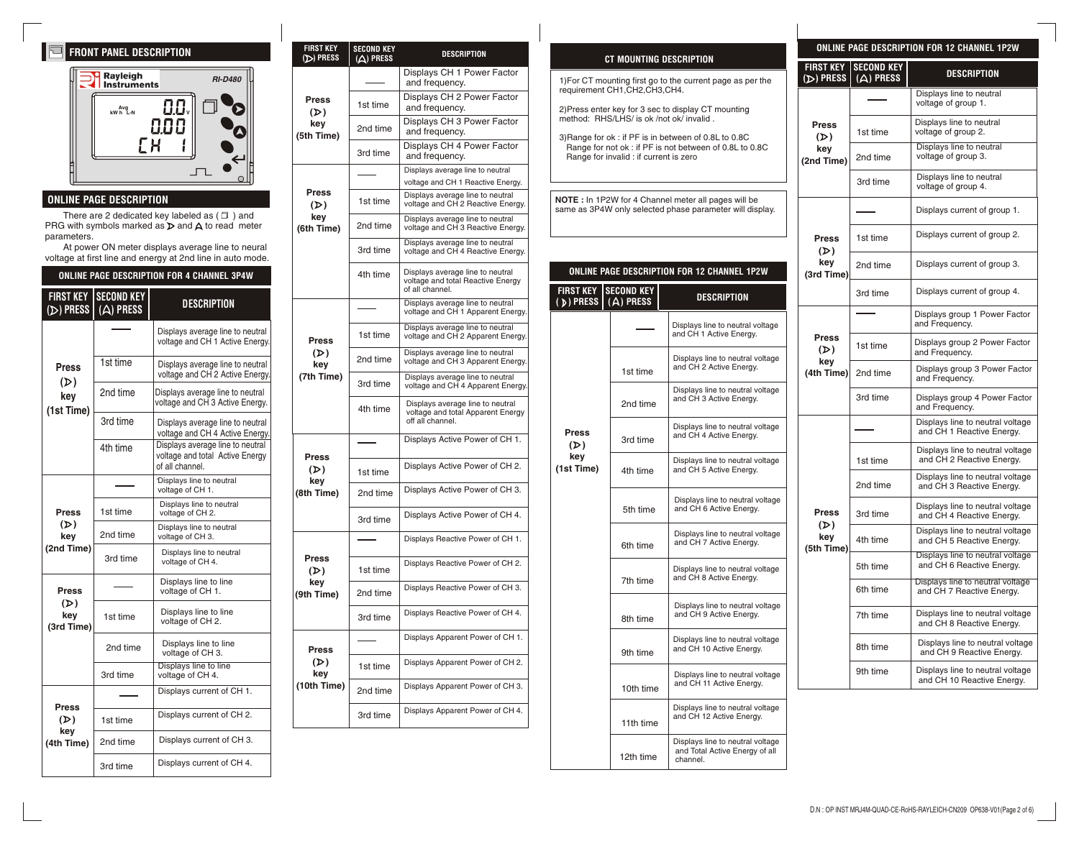# **FRONT PANEL DESCRIPTION**



## **ONLINE PAGE DESCRIPTION**

There are 2 dedicated key labeled as ( $\Box$ ) and PRG with symbols marked as  $\triangleright$  and  $\bigwedge$  to read meter parameters.

At power ON meter displays average line to neural voltage at first line and energy at 2nd line in auto mode.

### **ONLINE PAGE DESCRIPTION FOR 4 CHANNEL 3P4W**

| <b>FIRST KEY</b><br>$(D)$ PRESS          | <b>SECOND KEY</b><br>$(A)$ PRESS | <b>DESCRIPTION</b>                                                                     |
|------------------------------------------|----------------------------------|----------------------------------------------------------------------------------------|
|                                          |                                  | Displays average line to neutral<br>voltage and CH 1 Active Energy.                    |
| <b>Press</b><br>(D)                      | 1st time                         | Displays average line to neutral<br>voltage and CH 2 Active Energy.                    |
| kev<br>(1st Time)                        | 2nd time                         | Displays average line to neutral<br>voltage and CH 3 Active Energy.                    |
|                                          | 3rd time                         | Displays average line to neutral<br>voltage and CH 4 Active Energy.                    |
|                                          | 4th time                         | Displays average line to neutral<br>voltage and total Active Energy<br>of all channel. |
| <b>Press</b><br>(D)<br>key<br>(2nd Time) |                                  | Displays line to neutral<br>voltage of CH 1.                                           |
|                                          | 1st time                         | Displays line to neutral<br>voltage of CH 2.                                           |
|                                          | 2nd time                         | Displays line to neutral<br>voltage of CH 3.                                           |
|                                          | 3rd time                         | Displays line to neutral<br>voltage of CH 4.                                           |
| <b>Press</b>                             |                                  | Displays line to line<br>voltage of CH 1.                                              |
| (D)<br>key<br>(3rd Time)                 | 1st time                         | Displays line to line<br>voltage of CH <sub>2</sub> .                                  |
|                                          | 2nd time                         | Displays line to line<br>voltage of CH 3.                                              |
|                                          | 3rd time                         | Displays line to line<br>voltage of CH 4.                                              |
|                                          |                                  | Displays current of CH 1.                                                              |
| <b>Press</b><br>(D)                      | 1st time                         | Displays current of CH 2.                                                              |
| key<br>(4th Time)                        | 2nd time                         | Displays current of CH 3.                                                              |
|                                          | 3rd time                         | Displays current of CH 4.                                                              |

|                                          | <b>FIRST KEY</b><br>(D) PRESS | <b>SECOND KEY</b><br>$(A)$ PRESS             | <b>DESCRIPTION</b>                                                                        |                                                                                  | CT MOUNTING DESCRIPT                                                             |                           |
|------------------------------------------|-------------------------------|----------------------------------------------|-------------------------------------------------------------------------------------------|----------------------------------------------------------------------------------|----------------------------------------------------------------------------------|---------------------------|
| <b>RI-D480</b>                           |                               |                                              | Displays CH 1 Power Factor<br>and frequency.                                              |                                                                                  | 1) For CT mounting first go to the curre<br>requirement CH1, CH2, CH3, CH4.      |                           |
| <b>Press</b><br>(D)<br>key<br>(5th Time) | 1st time                      | Displays CH 2 Power Factor<br>and frequency. |                                                                                           | 2) Press enter key for 3 sec to display                                          |                                                                                  |                           |
|                                          | 2nd time                      | Displays CH 3 Power Factor<br>and frequency. |                                                                                           | method: RHS/LHS/ is ok /not ok/ inva<br>3) Range for ok : if PF is in between of |                                                                                  |                           |
|                                          |                               | 3rd time                                     | Displays CH 4 Power Factor<br>and frequency.                                              | Range for not ok : if PF is not betwe<br>Range for invalid : if current is zero  |                                                                                  |                           |
|                                          |                               |                                              | Displays average line to neutral                                                          |                                                                                  |                                                                                  |                           |
|                                          | <b>Press</b>                  |                                              | voltage and CH 1 Reactive Energy.<br>Displays average line to neutral                     |                                                                                  |                                                                                  |                           |
|                                          | (D)                           | 1st time                                     | voltage and CH 2 Reactive Energy.                                                         |                                                                                  | <b>NOTE</b> : In 1P2W for 4 Channel meter<br>same as 3P4W only selected phase pa |                           |
| s (口 ) and<br>o read meter               | key<br>(6th Time)             | 2nd time                                     | Displays average line to neutral<br>voltage and CH 3 Reactive Energy.                     |                                                                                  |                                                                                  |                           |
| eline to neural<br>in auto mode.         |                               | 3rd time                                     | Displays average line to neutral<br>voltage and CH 4 Reactive Energy.                     |                                                                                  |                                                                                  |                           |
| NNEL 3P4W                                |                               | 4th time                                     | Displays average line to neutral<br>voltage and total Reactive Energy<br>of all channel.  | <b>FIRST KEY   SECOND KEY</b>                                                    | <b>ONLINE PAGE DESCRIPTION FOR 1</b>                                             |                           |
| PTION                                    |                               |                                              | Displays average line to neutral<br>voltage and CH 1 Apparent Energy.                     | $(D)$ PRESS                                                                      | $(A)$ PRESS                                                                      |                           |
| ge line to neutral<br>11 Active Energy.  | <b>Press</b>                  | 1st time                                     | Displays average line to neutral<br>voltage and CH 2 Apparent Energy.                     |                                                                                  |                                                                                  | <b>Displays</b><br>and CH |
| ge line to neutral                       | (D)<br>key                    | 2nd time                                     | Displays average line to neutral<br>voltage and CH 3 Apparent Energy.                     |                                                                                  |                                                                                  | Display<br>and CH         |
| 12 Active Energy.<br>e line to neutral   | (7th Time)                    | 3rd time                                     | Displays average line to neutral<br>voltage and CH 4 Apparent Energy.                     |                                                                                  | 1st time                                                                         | Display                   |
| 3 Active Energy.<br>ge line to neutral   |                               | 4th time                                     | Displays average line to neutral<br>voltage and total Apparent Energy<br>off all channel. |                                                                                  | 2nd time                                                                         | and CH<br>Display         |
| 4 Active Energy.<br>e line to neutral    |                               |                                              | Displays Active Power of CH 1.                                                            | <b>Press</b><br>(D)                                                              | 3rd time                                                                         | and CH                    |
| al Active Energy                         | Press<br>(D)                  | 1st time                                     | Displays Active Power of CH 2.                                                            | key<br>(1st Time)                                                                | 4th time                                                                         | <b>Display</b><br>and CH  |
| neutral                                  | key<br>(8th Time)             | 2nd time                                     | Displays Active Power of CH 3.                                                            |                                                                                  |                                                                                  | Display                   |
| o neutral<br>2.<br>neutral               |                               | 3rd time                                     | Displays Active Power of CH 4.                                                            |                                                                                  | 5th time                                                                         | and CH                    |
| o neutral                                |                               |                                              | Displays Reactive Power of CH 1.                                                          |                                                                                  | 6th time                                                                         | Display<br>and CH         |
| 4.                                       | Press<br>(D)                  | 1st time                                     | Displays Reactive Power of CH 2.                                                          |                                                                                  |                                                                                  | <b>Display</b><br>and CH  |
| to line<br>l 1.                          | key<br>(9th Time)             | 2nd time                                     | Displays Reactive Power of CH 3.                                                          |                                                                                  | 7th time                                                                         |                           |
| to line<br>ł 2.                          |                               | 3rd time                                     | Displays Reactive Power of CH 4.                                                          |                                                                                  | 8th time                                                                         | Display<br>and CH         |
| to line<br>HЗ.                           | <b>Press</b>                  |                                              | Displays Apparent Power of CH 1.                                                          |                                                                                  | 9th time                                                                         | <b>Display</b><br>and CH  |
| o line<br>4.                             | (D)<br>key                    | 1st time                                     | Displays Apparent Power of CH 2.                                                          |                                                                                  |                                                                                  | Display                   |
| nt of CH 1.                              | (10th Time)                   | 2nd time                                     | Displays Apparent Power of CH 3.                                                          |                                                                                  | 10th time                                                                        | and CH                    |
| nt of CH 2.                              |                               | 3rd time                                     | Displays Apparent Power of CH 4.                                                          |                                                                                  | 11th time                                                                        | <b>Display</b><br>and CH  |
| ent of CH 3.                             |                               |                                              |                                                                                           |                                                                                  | 12th time                                                                        | Display<br>and To         |

|                                                                                                 | CT MOUNTING DESCRIPTION                |                                                                                                                  | FI  |  |
|-------------------------------------------------------------------------------------------------|----------------------------------------|------------------------------------------------------------------------------------------------------------------|-----|--|
| 1) For CT mounting first go to the current page as per the<br>requirement CH1, CH2, CH3, CH4.   |                                        |                                                                                                                  |     |  |
| 2) Press enter key for 3 sec to display CT mounting<br>method: RHS/LHS/ is ok /not ok/ invalid. |                                        |                                                                                                                  |     |  |
|                                                                                                 | Range for invalid : if current is zero | 3) Range for ok: if PF is in between of 0.8L to 0.8C<br>Range for not ok: if PF is not between of 0.8L to 0.8C   | (2r |  |
|                                                                                                 |                                        | NOTE : In 1P2W for 4 Channel meter all pages will be<br>same as 3P4W only selected phase parameter will display. |     |  |
|                                                                                                 |                                        | <b>ONLINE PAGE DESCRIPTION FOR 12 CHANNEL 1P2W</b>                                                               | (3  |  |
| <u>FIRST KEY</u><br>$(D)$ PRESS                                                                 | <b>SECOND KEY</b><br>(A) PRESS         | DESCRIPTION                                                                                                      |     |  |
|                                                                                                 |                                        | Displays line to neutral voltage<br>and CH 1 Active Energy.                                                      |     |  |
|                                                                                                 | 1st time                               | Displays line to neutral voltage<br>and CH 2 Active Energy.                                                      | (4  |  |
|                                                                                                 | 2nd time                               | Displays line to neutral voltage<br>and CH 3 Active Energy.                                                      |     |  |
| <b>Press</b><br>(D)                                                                             | 3rd time                               | Displays line to neutral voltage<br>and CH 4 Active Energy.                                                      |     |  |
| key<br>(1st Time)                                                                               | 4th time                               | Displays line to neutral voltage<br>and CH 5 Active Energy.                                                      |     |  |
|                                                                                                 | 5th time                               | Displays line to neutral voltage<br>and CH 6 Active Energy.                                                      |     |  |
|                                                                                                 | 6th time                               | Displays line to neutral voltage<br>and CH 7 Active Energy.                                                      | (5  |  |
|                                                                                                 | 7th time                               | Displays line to neutral voltage<br>and CH 8 Active Energy.                                                      |     |  |
|                                                                                                 | 8th time                               | Displays line to neutral voltage<br>and CH 9 Active Energy.                                                      |     |  |
|                                                                                                 | 9th time                               | Displays line to neutral voltage<br>and CH 10 Active Energy.                                                     |     |  |
| Displays line to neutral voltage<br>and CH 11 Active Energy.<br>10th time                       |                                        |                                                                                                                  |     |  |
|                                                                                                 | 11th time                              | Displays line to neutral voltage<br>and CH 12 Active Energy.                                                     |     |  |

Displays line to neutral voltage and Total Active Energy of all

channel.

12th time

| ONLINE PAGE DESCRIPTION FOR 12 CHANNEL 1P2W |                                  |                                                               |  |
|---------------------------------------------|----------------------------------|---------------------------------------------------------------|--|
| <b>FIRST KEY</b><br>$(D)$ PRESS             | <b>SECOND KEY</b><br>$(A)$ PRESS | DESCRIPTION                                                   |  |
|                                             |                                  | Displays line to neutral<br>voltage of group 1.               |  |
| <b>Press</b><br>(D)                         | 1st time                         | Displays line to neutral<br>voltage of group 2.               |  |
| key<br>(2nd Time)                           | 2nd time                         | Displays line to neutral<br>voltage of group 3.               |  |
|                                             | 3rd time                         | Displays line to neutral<br>voltage of group 4.               |  |
|                                             |                                  | Displays current of group 1.                                  |  |
| <b>Press</b><br>(D)                         | 1st time                         | Displays current of group 2.                                  |  |
| key<br>(3rd Time)                           | 2nd time                         | Displays current of group 3.                                  |  |
|                                             | 3rd time                         | Displays current of group 4.                                  |  |
|                                             |                                  | Displays group 1 Power Factor<br>and Frequency.               |  |
| <b>Press</b><br>(D)                         | 1st time                         | Displays group 2 Power Factor<br>and Frequency.               |  |
| key<br>(4th Time)                           | 2nd time                         | Displays group 3 Power Factor<br>and Frequency.               |  |
|                                             | 3rd time                         | Displays group 4 Power Factor<br>and Frequency.               |  |
|                                             |                                  | Displays line to neutral voltage<br>and CH 1 Reactive Energy. |  |
|                                             | 1st time                         | Displays line to neutral voltage<br>and CH 2 Reactive Energy. |  |
|                                             | 2nd time                         | Displays line to neutral voltage<br>and CH 3 Reactive Energy. |  |
| <b>Press</b>                                | 3rd time                         | Displays line to neutral voltage<br>and CH 4 Reactive Energy. |  |
| (D)<br>key<br>(5th Time)                    | 4th time                         | Displays line to neutral voltage<br>and CH 5 Reactive Energy. |  |
|                                             | 5th time                         | Displays line to neutral voltage<br>and CH 6 Reactive Energy. |  |
|                                             | 6th time                         | Displays line to neutral voltage<br>and CH 7 Reactive Energy. |  |
|                                             | 7th time                         | Displays line to neutral voltage<br>and CH 8 Reactive Energy. |  |

8th time 9th time

Displays line to neutral voltage and CH 9 Reactive Energy. Displays line to neutral voltage and CH 10 Reactive Energy.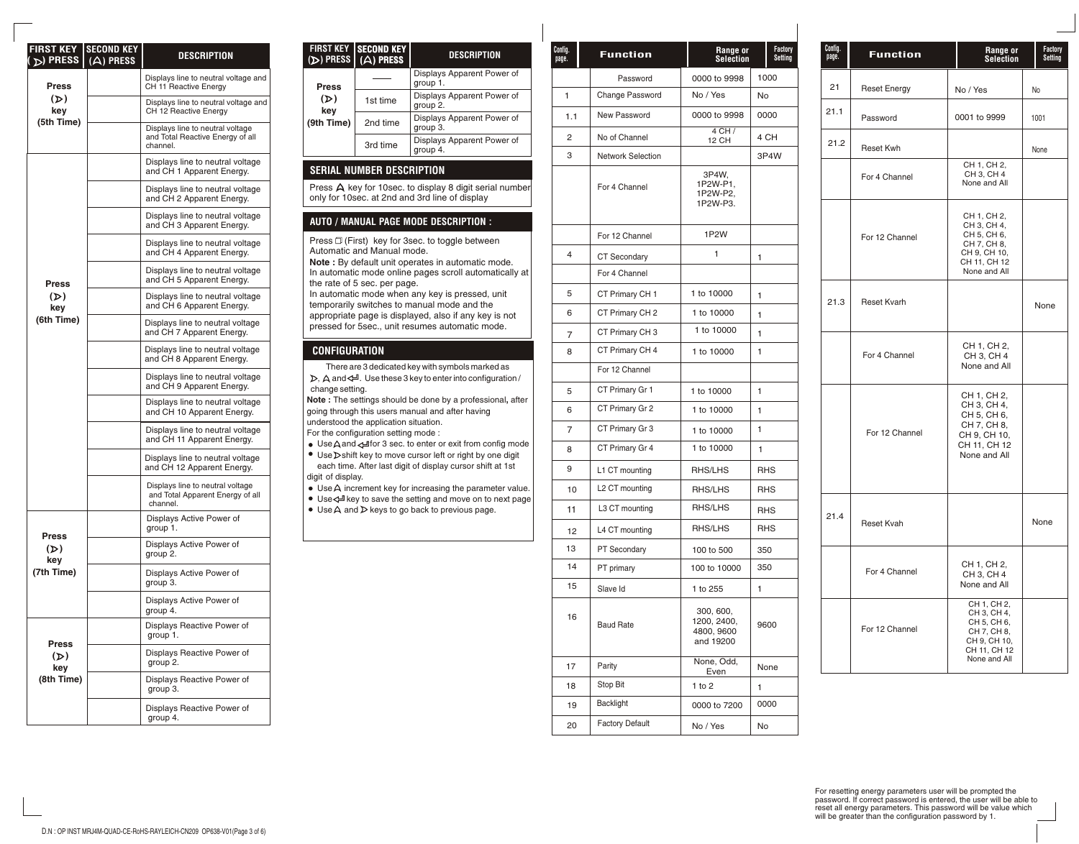| <b>FIRST KEY</b><br>$(D)$ PRESS | <b>SECOND KEY</b><br>$(A)$ PRESS | DESCRIPTION                                                                      |
|---------------------------------|----------------------------------|----------------------------------------------------------------------------------|
| <b>Press</b>                    |                                  | Displays line to neutral voltage and<br>CH 11 Reactive Energy                    |
| (D)<br>key<br>(5th Time)        |                                  | Displays line to neutral voltage and<br>CH 12 Reactive Energy                    |
|                                 |                                  | Displays line to neutral voltage<br>and Total Reactive Energy of all<br>channel. |
|                                 |                                  | Displays line to neutral voltage<br>and CH 1 Apparent Energy.                    |
|                                 |                                  | Displays line to neutral voltage<br>and CH 2 Apparent Energy.                    |
|                                 |                                  | Displays line to neutral voltage<br>and CH 3 Apparent Energy.                    |
|                                 |                                  | Displays line to neutral voltage<br>and CH 4 Apparent Energy.                    |
| Press                           |                                  | Displays line to neutral voltage<br>and CH 5 Apparent Energy.                    |
| (D)<br>key                      |                                  | Displays line to neutral voltage<br>and CH 6 Apparent Energy.                    |
| (6th Time)                      |                                  | Displays line to neutral voltage<br>and CH 7 Apparent Energy.                    |
|                                 |                                  | Displays line to neutral voltage<br>and CH 8 Apparent Energy.                    |
|                                 |                                  | Displays line to neutral voltage<br>and CH 9 Apparent Energy.                    |
|                                 |                                  | Displays line to neutral voltage<br>and CH 10 Apparent Energy.                   |
|                                 |                                  | Displays line to neutral voltage<br>and CH 11 Apparent Energy.                   |
|                                 |                                  | Displays line to neutral voltage<br>and CH 12 Apparent Energy.                   |
|                                 |                                  | Displays line to neutral voltage<br>and Total Apparent Energy of all<br>channel. |
|                                 |                                  | Displays Active Power of<br>group 1.                                             |
| Press<br>$(\mathcal{D})$<br>key |                                  | Displays Active Power of<br>group 2.                                             |
| (7th Time)                      |                                  | Displays Active Power of<br>group 3.                                             |
|                                 |                                  | Displays Active Power of<br>group 4.                                             |
|                                 |                                  | Displays Reactive Power of<br>group 1.                                           |
| Press<br>(D)<br>key             |                                  | Displays Reactive Power of<br>group 2.                                           |
| (8th Time)                      |                                  | Displays Reactive Power of<br>group 3.                                           |
|                                 |                                  | Displays Reactive Power of<br>group 4.                                           |

| FIRST KEY<br>$(D)$ PRESS                                                                                                 | <b>SECOND KEY</b><br>$(A)$ PRESS | <b>DESCRIPTION</b>                     |  |
|--------------------------------------------------------------------------------------------------------------------------|----------------------------------|----------------------------------------|--|
| <b>Press</b>                                                                                                             |                                  | Displays Apparent Power of<br>group 1. |  |
| (D)<br>kev                                                                                                               | 1st time                         | Displays Apparent Power of<br>group 2. |  |
| (9th Time)                                                                                                               | 2nd time                         | Displays Apparent Power of<br>group 3. |  |
|                                                                                                                          | 3rd time                         | Displays Apparent Power of<br>group 4. |  |
| <b>SERIAL NUMBER DESCRIPTION</b>                                                                                         |                                  |                                        |  |
| Press $\bigtriangleup$ key for 10sec. to display 8 digit serial number<br>only for 10sec. at 2nd and 3rd line of display |                                  |                                        |  |

### **AUTO / MANUAL PAGE MODE DESCRIPTION :**

Press  $\Box$  (First) key for 3sec. to toggle between Automatic and Manual mode. **Note :** By default unit operates in automatic mode.

In automatic mode online pages scroll automatically at the rate of 5 sec. per page.

In automatic mode when any key is pressed, unit temporarily switches to manual mode and the appropriate page is displayed, also if any key is not pressed for 5sec., unit resumes automatic mode.

### **CONFIGURATION**

There are 3 dedicated key with symbols marked as  $D$ ,  $\Delta$  and  $4$ . Use these 3 key to enter into configuration / change setting.

**Note :** The settings should be done by a professional**,** after going through this users manual and after having

understood the application situation. For the configuration setting mode :

 $\bullet$  Use A and  $\leftarrow$  for 3 sec. to enter or exit from config mode • Use Dshift key to move cursor left or right by one digit each time. After last digit of display cursor shift at 1st

digit of display.

- $\bullet$  Use  $\bigtriangleup$  increment key for increasing the parameter value. ● Use< Hey to save the setting and move on to next page
- $\bullet$  Use A and  $\nu$  keys to go back to previous page.

| Config.<br>page. | <b>Function</b>          | Range or<br><b>Selection</b>                        | Factory<br>Setting |
|------------------|--------------------------|-----------------------------------------------------|--------------------|
|                  | Password                 | 0000 to 9998                                        | 1000               |
| 1                | Change Password          | No / Yes                                            | No                 |
| 1.1              | New Password             | 0000 to 9998                                        | 0000               |
| 2                | No of Channel            | $4$ CH $/$<br>12 CH                                 | 4 CH               |
| 3                | <b>Network Selection</b> |                                                     | 3P4W               |
|                  | For 4 Channel            | 3P4W,<br>1P2W-P1,<br>1P2W-P2,<br>1P2W-P3.           |                    |
|                  | For 12 Channel           | 1P2W                                                |                    |
| $\overline{4}$   | <b>CT Secondary</b>      | 1                                                   | 1                  |
|                  | For 4 Channel            |                                                     |                    |
| 5                | CT Primary CH 1          | 1 to 10000                                          | 1                  |
| 6                | CT Primary CH 2          | 1 to 10000                                          | 1                  |
| 7                | CT Primary CH 3          | 1 to 10000                                          | 1                  |
| 8                | CT Primary CH 4          | 1 to 10000                                          | 1                  |
|                  | For 12 Channel           |                                                     |                    |
| 5                | CT Primary Gr 1          | 1 to 10000                                          | 1                  |
| 6                | CT Primary Gr 2          | 1 to 10000                                          | 1                  |
| 7                | CT Primary Gr 3          | 1 to 10000                                          | 1                  |
| 8                | CT Primary Gr 4          | 1 to 10000                                          | 1                  |
| 9                | L1 CT mounting           | RHS/LHS                                             | <b>RHS</b>         |
| 10               | L2 CT mounting           | RHS/LHS                                             | <b>RHS</b>         |
| 11               | L3 CT mounting           | RHS/LHS                                             | <b>RHS</b>         |
| 12               | L4 CT mounting           | RHS/LHS                                             | <b>RHS</b>         |
| 13               | PT Secondary             | 100 to 500                                          | 350                |
| 14               | PT primary               | 100 to 10000                                        | 350                |
| 15               | Slave Id                 | 1 to 255                                            | 1                  |
| 16               | <b>Baud Rate</b>         | 300, 600,<br>1200, 2400,<br>4800, 9600<br>and 19200 | 9600               |
| 17               | Parity                   | None, Odd,<br>Even                                  | None               |
| 18               | Stop Bit                 | 1 to 2                                              | 1                  |
| 19               | Backlight                | 0000 to 7200                                        | 0000               |
| 20               | <b>Factory Default</b>   | No / Yes                                            | No                 |

| Config.<br>page. | Function            | Range or<br>Selection                                                                                    | <b>Factory</b><br><b>Setting</b> |
|------------------|---------------------|----------------------------------------------------------------------------------------------------------|----------------------------------|
| 21               | <b>Reset Energy</b> | No / Yes                                                                                                 | No                               |
| 21.1             | Password            | 0001 to 9999                                                                                             | 1001                             |
| 21.2             | <b>Reset Kwh</b>    |                                                                                                          | None                             |
|                  | For 4 Channel       | CH 1, CH 2,<br>CH 3, CH 4<br>None and All                                                                |                                  |
|                  | For 12 Channel      | CH 1, CH 2,<br>CH 3, CH 4,<br>CH 5, CH 6,<br>CH 7, CH 8,<br>CH 9, CH 10,<br>CH 11, CH 12<br>None and All |                                  |
| 21.3             | <b>Reset Kvarh</b>  |                                                                                                          | None                             |
|                  | For 4 Channel       | CH 1, CH 2,<br>CH 3, CH 4<br>None and All                                                                |                                  |
|                  | For 12 Channel      | CH 1, CH 2,<br>CH 3, CH 4,<br>CH 5, CH 6,<br>CH 7, CH 8,<br>CH 9, CH 10,<br>CH 11, CH 12<br>None and All |                                  |
| 21.4             | <b>Reset Kvah</b>   |                                                                                                          | None                             |
|                  | For 4 Channel       | CH 1, CH 2,<br>CH 3, CH 4<br>None and All                                                                |                                  |
|                  | For 12 Channel      | CH 1, CH 2,<br>CH 3, CH 4,<br>CH 5, CH 6,<br>CH 7, CH 8,<br>CH 9, CH 10,<br>CH 11, CH 12<br>None and All |                                  |

For resetting energy parameters user will be prompted the password. If correct password is entered, the user will be able to reset all energy parameters. This password will be value which will be greater than the configuration password by 1.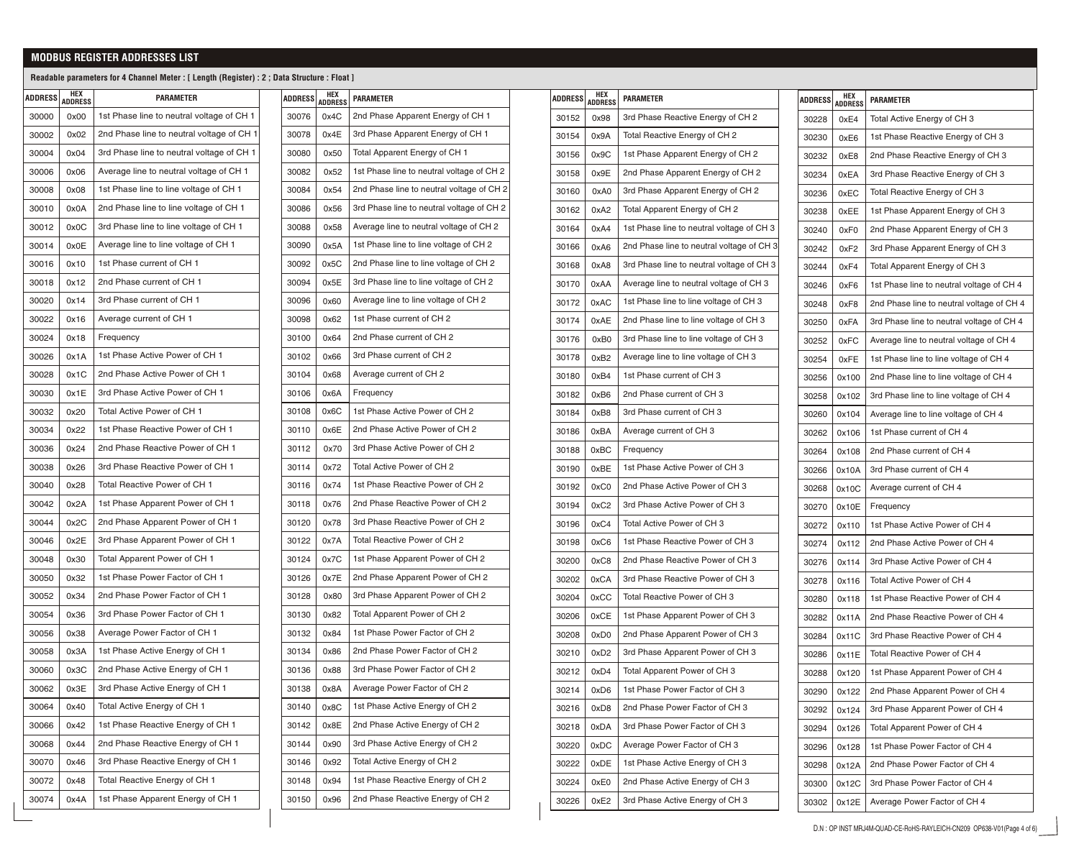# **MODBUS REGISTER ADDRESSES LIST**

### **Readable parameters for 4 Channel Meter : [ Length (Register) : 2 ; Data Structure : Float ]**

| 1st Phase line to neutral voltage of CH 1<br>30000<br>0x00<br>2nd Phase line to neutral voltage of CH 1<br>0x02<br>30002<br>30004<br>0x04<br>3rd Phase line to neutral voltage of CH 1<br>Average line to neutral voltage of CH 1<br>30006<br>0x06<br>1st Phase line to line voltage of CH 1<br>30008<br>0x08<br>2nd Phase line to line voltage of CH 1<br>30010<br>0x0A<br>3rd Phase line to line voltage of CH 1<br>30012<br>0x0C<br>Average line to line voltage of CH 1<br>30014<br>0x0E<br>1st Phase current of CH 1<br>30016<br>0x10<br>2nd Phase current of CH 1<br>30018<br>0x12<br>3rd Phase current of CH 1<br>0x14<br>30020 |  |
|----------------------------------------------------------------------------------------------------------------------------------------------------------------------------------------------------------------------------------------------------------------------------------------------------------------------------------------------------------------------------------------------------------------------------------------------------------------------------------------------------------------------------------------------------------------------------------------------------------------------------------------|--|
|                                                                                                                                                                                                                                                                                                                                                                                                                                                                                                                                                                                                                                        |  |
|                                                                                                                                                                                                                                                                                                                                                                                                                                                                                                                                                                                                                                        |  |
|                                                                                                                                                                                                                                                                                                                                                                                                                                                                                                                                                                                                                                        |  |
|                                                                                                                                                                                                                                                                                                                                                                                                                                                                                                                                                                                                                                        |  |
|                                                                                                                                                                                                                                                                                                                                                                                                                                                                                                                                                                                                                                        |  |
|                                                                                                                                                                                                                                                                                                                                                                                                                                                                                                                                                                                                                                        |  |
|                                                                                                                                                                                                                                                                                                                                                                                                                                                                                                                                                                                                                                        |  |
|                                                                                                                                                                                                                                                                                                                                                                                                                                                                                                                                                                                                                                        |  |
|                                                                                                                                                                                                                                                                                                                                                                                                                                                                                                                                                                                                                                        |  |
|                                                                                                                                                                                                                                                                                                                                                                                                                                                                                                                                                                                                                                        |  |
|                                                                                                                                                                                                                                                                                                                                                                                                                                                                                                                                                                                                                                        |  |
| Average current of CH 1<br>0x16<br>30022                                                                                                                                                                                                                                                                                                                                                                                                                                                                                                                                                                                               |  |
| 30024<br>0x18<br>Frequency                                                                                                                                                                                                                                                                                                                                                                                                                                                                                                                                                                                                             |  |
| 1st Phase Active Power of CH 1<br>0x1A<br>30026                                                                                                                                                                                                                                                                                                                                                                                                                                                                                                                                                                                        |  |
| 2nd Phase Active Power of CH 1<br>30028<br>0x1C                                                                                                                                                                                                                                                                                                                                                                                                                                                                                                                                                                                        |  |
| 3rd Phase Active Power of CH 1<br>30030<br>0x1E                                                                                                                                                                                                                                                                                                                                                                                                                                                                                                                                                                                        |  |
| Total Active Power of CH 1<br>30032<br>0x20                                                                                                                                                                                                                                                                                                                                                                                                                                                                                                                                                                                            |  |
| 1st Phase Reactive Power of CH 1<br>30034<br>0x22                                                                                                                                                                                                                                                                                                                                                                                                                                                                                                                                                                                      |  |
| 2nd Phase Reactive Power of CH 1<br>30036<br>0x24                                                                                                                                                                                                                                                                                                                                                                                                                                                                                                                                                                                      |  |
| 3rd Phase Reactive Power of CH 1<br>30038<br>0x26                                                                                                                                                                                                                                                                                                                                                                                                                                                                                                                                                                                      |  |
| Total Reactive Power of CH 1<br>30040<br>0x28                                                                                                                                                                                                                                                                                                                                                                                                                                                                                                                                                                                          |  |
| 1st Phase Apparent Power of CH 1<br>30042<br>0x2A                                                                                                                                                                                                                                                                                                                                                                                                                                                                                                                                                                                      |  |
| 2nd Phase Apparent Power of CH 1<br>30044<br>0x2C                                                                                                                                                                                                                                                                                                                                                                                                                                                                                                                                                                                      |  |
| 3rd Phase Apparent Power of CH 1<br>30046<br>0x2E                                                                                                                                                                                                                                                                                                                                                                                                                                                                                                                                                                                      |  |
| Total Apparent Power of CH 1<br>30048<br>0x30                                                                                                                                                                                                                                                                                                                                                                                                                                                                                                                                                                                          |  |
| 1st Phase Power Factor of CH 1<br>30050<br>0x32                                                                                                                                                                                                                                                                                                                                                                                                                                                                                                                                                                                        |  |
| 2nd Phase Power Factor of CH 1<br>30052<br>0x34                                                                                                                                                                                                                                                                                                                                                                                                                                                                                                                                                                                        |  |
| 3rd Phase Power Factor of CH 1<br>30054<br>0x36                                                                                                                                                                                                                                                                                                                                                                                                                                                                                                                                                                                        |  |
| Average Power Factor of CH 1<br>30056<br>0x38                                                                                                                                                                                                                                                                                                                                                                                                                                                                                                                                                                                          |  |
| 1st Phase Active Energy of CH 1<br>30058<br>0x3A                                                                                                                                                                                                                                                                                                                                                                                                                                                                                                                                                                                       |  |
| 2nd Phase Active Energy of CH 1<br>30060<br>0x3C                                                                                                                                                                                                                                                                                                                                                                                                                                                                                                                                                                                       |  |
| 0x3E<br>3rd Phase Active Energy of CH 1<br>30062                                                                                                                                                                                                                                                                                                                                                                                                                                                                                                                                                                                       |  |
| Total Active Energy of CH 1<br>30064<br>0x40                                                                                                                                                                                                                                                                                                                                                                                                                                                                                                                                                                                           |  |
| 1st Phase Reactive Energy of CH 1<br>30066<br>0x42                                                                                                                                                                                                                                                                                                                                                                                                                                                                                                                                                                                     |  |
| 2nd Phase Reactive Energy of CH 1<br>0x44<br>30068                                                                                                                                                                                                                                                                                                                                                                                                                                                                                                                                                                                     |  |
| 3rd Phase Reactive Energy of CH 1<br>30070<br>0x46                                                                                                                                                                                                                                                                                                                                                                                                                                                                                                                                                                                     |  |
| Total Reactive Energy of CH 1<br>30072<br>0x48                                                                                                                                                                                                                                                                                                                                                                                                                                                                                                                                                                                         |  |
| 1st Phase Apparent Energy of CH 1<br>30074<br>0x4A                                                                                                                                                                                                                                                                                                                                                                                                                                                                                                                                                                                     |  |

| ADDRESS | <b>HEX</b><br>ADDRESS | <b>PARAMETER</b>                          |
|---------|-----------------------|-------------------------------------------|
| 30076   | 0x4C                  | 2nd Phase Apparent Energy of CH 1         |
| 30078   | 0x4E                  | 3rd Phase Apparent Energy of CH 1         |
| 30080   | 0x50                  | Total Apparent Energy of CH 1             |
| 30082   | 0x52                  | 1st Phase line to neutral voltage of CH 2 |
| 30084   | 0x54                  | 2nd Phase line to neutral voltage of CH 2 |
| 30086   | 0x56                  | 3rd Phase line to neutral voltage of CH 2 |
| 30088   | 0x58                  | Average line to neutral voltage of CH 2   |
| 30090   | 0x5A                  | 1st Phase line to line voltage of CH 2    |
| 30092   | 0x5C                  | 2nd Phase line to line voltage of CH 2    |
| 30094   | 0x5E                  | 3rd Phase line to line voltage of CH 2    |
| 30096   | 0x60                  | Average line to line voltage of CH 2      |
| 30098   | 0x62                  | 1st Phase current of CH 2                 |
| 30100   | 0x64                  | 2nd Phase current of CH 2                 |
| 30102   | 0x66                  | 3rd Phase current of CH 2                 |
| 30104   | 0x68                  | Average current of CH 2                   |
| 30106   | 0x6A                  | Frequency                                 |
| 30108   | 0x6C                  | 1st Phase Active Power of CH 2            |
| 30110   | 0x6E                  | 2nd Phase Active Power of CH 2            |
| 30112   | 0x70                  | 3rd Phase Active Power of CH 2            |
| 30114   | 0x72                  | Total Active Power of CH 2                |
| 30116   | 0x74                  | 1st Phase Reactive Power of CH 2          |
| 30118   | 0x76                  | 2nd Phase Reactive Power of CH 2          |
| 30120   | 0x78                  | 3rd Phase Reactive Power of CH 2          |
| 30122   | 0x7A                  | Total Reactive Power of CH 2              |
| 30124   | 0x7C                  | 1st Phase Apparent Power of CH 2          |
| 30126   | 0x7E                  | 2nd Phase Apparent Power of CH 2          |
| 30128   | 0x80                  | 3rd Phase Apparent Power of CH 2          |
| 30130   | 0x82                  | Total Apparent Power of CH 2              |
| 30132   | 0x84                  | 1st Phase Power Factor of CH 2            |
| 30134   | 0x86                  | 2nd Phase Power Factor of CH 2            |
| 30136   | <b>0x88</b>           | 3rd Phase Power Factor of CH 2            |
| 30138   | 0x8A                  | Average Power Factor of CH 2              |
| 30140   | 0x8C                  | 1st Phase Active Energy of CH 2           |
| 30142   | 0x8E                  | 2nd Phase Active Energy of CH 2           |
| 30144   | 0x90                  | 3rd Phase Active Energy of CH 2           |
| 30146   | 0x92                  | Total Active Energy of CH 2               |
| 30148   | 0x94                  | 1st Phase Reactive Energy of CH 2         |
| 30150   | 0x96                  | 2nd Phase Reactive Energy of CH 2         |

| <b>ADDRESS</b> | HEX<br><b>ADDRESS</b> | <b>PARAMETER</b>                          |  |  |
|----------------|-----------------------|-------------------------------------------|--|--|
| 30152          | 0x98                  | 3rd Phase Reactive Energy of CH 2         |  |  |
| 30154          | 0x9A                  | Total Reactive Energy of CH 2             |  |  |
| 30156          | 0x9C                  | 1st Phase Apparent Energy of CH 2         |  |  |
| 30158          | 0x9E                  | 2nd Phase Apparent Energy of CH 2         |  |  |
| 30160          | 0xA0                  | 3rd Phase Apparent Energy of CH 2         |  |  |
| 30162          | 0xA2                  | Total Apparent Energy of CH 2             |  |  |
| 30164          | 0xA4                  | 1st Phase line to neutral voltage of CH 3 |  |  |
| 30166          | 0xA6                  | 2nd Phase line to neutral voltage of CH 3 |  |  |
| 30168          | 0xA8                  | 3rd Phase line to neutral voltage of CH 3 |  |  |
| 30170          | 0xAA                  | Average line to neutral voltage of CH 3   |  |  |
| 30172          | 0xAC                  | 1st Phase line to line voltage of CH 3    |  |  |
| 30174          | 0xAE                  | 2nd Phase line to line voltage of CH 3    |  |  |
| 30176          | 0xB0                  | 3rd Phase line to line voltage of CH 3    |  |  |
| 30178          | 0xB <sub>2</sub>      | Average line to line voltage of CH 3      |  |  |
| 30180          | 0xB4                  | 1st Phase current of CH 3                 |  |  |
| 30182          | 0xB6                  | 2nd Phase current of CH 3                 |  |  |
| 30184          | 0xB8                  | 3rd Phase current of CH 3                 |  |  |
| 30186          | 0xBA                  | Average current of CH 3                   |  |  |
| 30188          | 0xBC                  | Frequency                                 |  |  |
| 30190          | 0xBE                  | 1st Phase Active Power of CH 3            |  |  |
| 30192          | 0xC0                  | 2nd Phase Active Power of CH 3            |  |  |
| 30194          | 0xC2                  | 3rd Phase Active Power of CH 3            |  |  |
| 30196          | 0xC4                  | Total Active Power of CH 3                |  |  |
| 30198          | 0xC6                  | 1st Phase Reactive Power of CH 3          |  |  |
| 30200          | 0xC8                  | 2nd Phase Reactive Power of CH 3          |  |  |
| 30202          | 0xCA                  | 3rd Phase Reactive Power of CH 3          |  |  |
| 30204          | 0xCC                  | Total Reactive Power of CH 3              |  |  |
| 30206          | 0xCE                  | 1st Phase Apparent Power of CH 3          |  |  |
| 30208          | 0xD0                  | 2nd Phase Apparent Power of CH 3          |  |  |
| 30210          | 0xD <sub>2</sub>      | 3rd Phase Apparent Power of CH 3          |  |  |
| 30212          | 0xD4                  | Total Apparent Power of CH 3              |  |  |
| 30214          | 0xD6                  | 1st Phase Power Factor of CH 3            |  |  |
| 30216          | 0xD8                  | 2nd Phase Power Factor of CH 3            |  |  |
| 30218          | 0xDA                  | 3rd Phase Power Factor of CH 3            |  |  |
| 30220          | 0xDC                  | Average Power Factor of CH 3              |  |  |
| 30222          | 0xDE                  | 1st Phase Active Energy of CH 3           |  |  |
| 30224          | 0xE0                  | 2nd Phase Active Energy of CH 3           |  |  |
| 30226          | 0xE2                  | 3rd Phase Active Energy of CH 3           |  |  |

| Total Active Energy of CH 3<br>0xE4<br>30228<br>30230<br>1st Phase Reactive Energy of CH 3<br>0xE6<br>30232<br>0xE8<br>2nd Phase Reactive Energy of CH 3<br>30234<br>0xEA<br>3rd Phase Reactive Energy of CH 3<br>Total Reactive Energy of CH 3<br>0xEC<br>30236<br>1st Phase Apparent Energy of CH 3<br>30238<br>0xEE<br>2nd Phase Apparent Energy of CH 3<br>30240<br>0xF0<br>0xF2<br>3rd Phase Apparent Energy of CH 3<br>30242<br>Total Apparent Energy of CH 3<br>30244<br>0xF4<br>1st Phase line to neutral voltage of CH 4<br>0xF6<br>30246<br>2nd Phase line to neutral voltage of CH 4<br>30248<br>0xF8<br>30250<br>0xFA<br>3rd Phase line to neutral voltage of CH 4<br>30252<br>Average line to neutral voltage of CH 4<br>0xFC<br>30254<br>0xFE<br>1st Phase line to line voltage of CH 4<br>2nd Phase line to line voltage of CH 4<br>30256<br>0x100<br>3rd Phase line to line voltage of CH 4<br>30258<br>0x102<br>30260<br>0x104<br>Average line to line voltage of CH 4<br>1st Phase current of CH 4<br>30262<br>0x106<br>2nd Phase current of CH 4<br>30264<br>0x108<br>3rd Phase current of CH 4<br>30266<br>0x10A<br>Average current of CH 4<br>30268<br>0x10C<br>30270<br>0x10E<br>Frequency<br>1st Phase Active Power of CH 4<br>30272<br>0x110<br>2nd Phase Active Power of CH 4<br>30274<br>0x112<br>3rd Phase Active Power of CH 4<br>0x114<br>30276<br>Total Active Power of CH 4<br>30278<br>0x116<br>1st Phase Reactive Power of CH 4<br>30280<br>0x118<br>2nd Phase Reactive Power of CH 4<br>30282<br>0x11A<br>3rd Phase Reactive Power of CH 4<br>30284<br>0x11C<br>Total Reactive Power of CH 4<br>30286<br>0x11E<br>30288<br>0x120<br>1st Phase Apparent Power of CH 4<br>2nd Phase Apparent Power of CH 4<br>30290<br>0x122<br>3rd Phase Apparent Power of CH 4<br>30292<br>0x124<br>Total Apparent Power of CH 4<br>30294<br>0x126<br>1st Phase Power Factor of CH 4<br>30296<br>0x128<br>2nd Phase Power Factor of CH 4<br>30298<br>0x12A<br>3rd Phase Power Factor of CH 4<br>30300<br>0x12C<br>Average Power Factor of CH 4<br>30302<br>0x12E | <b>ADDRESS</b> | HEX<br><b>ADDRESS</b> | <b>PARAMETER</b> |
|------------------------------------------------------------------------------------------------------------------------------------------------------------------------------------------------------------------------------------------------------------------------------------------------------------------------------------------------------------------------------------------------------------------------------------------------------------------------------------------------------------------------------------------------------------------------------------------------------------------------------------------------------------------------------------------------------------------------------------------------------------------------------------------------------------------------------------------------------------------------------------------------------------------------------------------------------------------------------------------------------------------------------------------------------------------------------------------------------------------------------------------------------------------------------------------------------------------------------------------------------------------------------------------------------------------------------------------------------------------------------------------------------------------------------------------------------------------------------------------------------------------------------------------------------------------------------------------------------------------------------------------------------------------------------------------------------------------------------------------------------------------------------------------------------------------------------------------------------------------------------------------------------------------------------------------------------------------------------------------------------------------------------------------------------------------------------------|----------------|-----------------------|------------------|
|                                                                                                                                                                                                                                                                                                                                                                                                                                                                                                                                                                                                                                                                                                                                                                                                                                                                                                                                                                                                                                                                                                                                                                                                                                                                                                                                                                                                                                                                                                                                                                                                                                                                                                                                                                                                                                                                                                                                                                                                                                                                                    |                |                       |                  |
|                                                                                                                                                                                                                                                                                                                                                                                                                                                                                                                                                                                                                                                                                                                                                                                                                                                                                                                                                                                                                                                                                                                                                                                                                                                                                                                                                                                                                                                                                                                                                                                                                                                                                                                                                                                                                                                                                                                                                                                                                                                                                    |                |                       |                  |
|                                                                                                                                                                                                                                                                                                                                                                                                                                                                                                                                                                                                                                                                                                                                                                                                                                                                                                                                                                                                                                                                                                                                                                                                                                                                                                                                                                                                                                                                                                                                                                                                                                                                                                                                                                                                                                                                                                                                                                                                                                                                                    |                |                       |                  |
|                                                                                                                                                                                                                                                                                                                                                                                                                                                                                                                                                                                                                                                                                                                                                                                                                                                                                                                                                                                                                                                                                                                                                                                                                                                                                                                                                                                                                                                                                                                                                                                                                                                                                                                                                                                                                                                                                                                                                                                                                                                                                    |                |                       |                  |
|                                                                                                                                                                                                                                                                                                                                                                                                                                                                                                                                                                                                                                                                                                                                                                                                                                                                                                                                                                                                                                                                                                                                                                                                                                                                                                                                                                                                                                                                                                                                                                                                                                                                                                                                                                                                                                                                                                                                                                                                                                                                                    |                |                       |                  |
|                                                                                                                                                                                                                                                                                                                                                                                                                                                                                                                                                                                                                                                                                                                                                                                                                                                                                                                                                                                                                                                                                                                                                                                                                                                                                                                                                                                                                                                                                                                                                                                                                                                                                                                                                                                                                                                                                                                                                                                                                                                                                    |                |                       |                  |
|                                                                                                                                                                                                                                                                                                                                                                                                                                                                                                                                                                                                                                                                                                                                                                                                                                                                                                                                                                                                                                                                                                                                                                                                                                                                                                                                                                                                                                                                                                                                                                                                                                                                                                                                                                                                                                                                                                                                                                                                                                                                                    |                |                       |                  |
|                                                                                                                                                                                                                                                                                                                                                                                                                                                                                                                                                                                                                                                                                                                                                                                                                                                                                                                                                                                                                                                                                                                                                                                                                                                                                                                                                                                                                                                                                                                                                                                                                                                                                                                                                                                                                                                                                                                                                                                                                                                                                    |                |                       |                  |
|                                                                                                                                                                                                                                                                                                                                                                                                                                                                                                                                                                                                                                                                                                                                                                                                                                                                                                                                                                                                                                                                                                                                                                                                                                                                                                                                                                                                                                                                                                                                                                                                                                                                                                                                                                                                                                                                                                                                                                                                                                                                                    |                |                       |                  |
|                                                                                                                                                                                                                                                                                                                                                                                                                                                                                                                                                                                                                                                                                                                                                                                                                                                                                                                                                                                                                                                                                                                                                                                                                                                                                                                                                                                                                                                                                                                                                                                                                                                                                                                                                                                                                                                                                                                                                                                                                                                                                    |                |                       |                  |
|                                                                                                                                                                                                                                                                                                                                                                                                                                                                                                                                                                                                                                                                                                                                                                                                                                                                                                                                                                                                                                                                                                                                                                                                                                                                                                                                                                                                                                                                                                                                                                                                                                                                                                                                                                                                                                                                                                                                                                                                                                                                                    |                |                       |                  |
|                                                                                                                                                                                                                                                                                                                                                                                                                                                                                                                                                                                                                                                                                                                                                                                                                                                                                                                                                                                                                                                                                                                                                                                                                                                                                                                                                                                                                                                                                                                                                                                                                                                                                                                                                                                                                                                                                                                                                                                                                                                                                    |                |                       |                  |
|                                                                                                                                                                                                                                                                                                                                                                                                                                                                                                                                                                                                                                                                                                                                                                                                                                                                                                                                                                                                                                                                                                                                                                                                                                                                                                                                                                                                                                                                                                                                                                                                                                                                                                                                                                                                                                                                                                                                                                                                                                                                                    |                |                       |                  |
|                                                                                                                                                                                                                                                                                                                                                                                                                                                                                                                                                                                                                                                                                                                                                                                                                                                                                                                                                                                                                                                                                                                                                                                                                                                                                                                                                                                                                                                                                                                                                                                                                                                                                                                                                                                                                                                                                                                                                                                                                                                                                    |                |                       |                  |
|                                                                                                                                                                                                                                                                                                                                                                                                                                                                                                                                                                                                                                                                                                                                                                                                                                                                                                                                                                                                                                                                                                                                                                                                                                                                                                                                                                                                                                                                                                                                                                                                                                                                                                                                                                                                                                                                                                                                                                                                                                                                                    |                |                       |                  |
|                                                                                                                                                                                                                                                                                                                                                                                                                                                                                                                                                                                                                                                                                                                                                                                                                                                                                                                                                                                                                                                                                                                                                                                                                                                                                                                                                                                                                                                                                                                                                                                                                                                                                                                                                                                                                                                                                                                                                                                                                                                                                    |                |                       |                  |
|                                                                                                                                                                                                                                                                                                                                                                                                                                                                                                                                                                                                                                                                                                                                                                                                                                                                                                                                                                                                                                                                                                                                                                                                                                                                                                                                                                                                                                                                                                                                                                                                                                                                                                                                                                                                                                                                                                                                                                                                                                                                                    |                |                       |                  |
|                                                                                                                                                                                                                                                                                                                                                                                                                                                                                                                                                                                                                                                                                                                                                                                                                                                                                                                                                                                                                                                                                                                                                                                                                                                                                                                                                                                                                                                                                                                                                                                                                                                                                                                                                                                                                                                                                                                                                                                                                                                                                    |                |                       |                  |
|                                                                                                                                                                                                                                                                                                                                                                                                                                                                                                                                                                                                                                                                                                                                                                                                                                                                                                                                                                                                                                                                                                                                                                                                                                                                                                                                                                                                                                                                                                                                                                                                                                                                                                                                                                                                                                                                                                                                                                                                                                                                                    |                |                       |                  |
|                                                                                                                                                                                                                                                                                                                                                                                                                                                                                                                                                                                                                                                                                                                                                                                                                                                                                                                                                                                                                                                                                                                                                                                                                                                                                                                                                                                                                                                                                                                                                                                                                                                                                                                                                                                                                                                                                                                                                                                                                                                                                    |                |                       |                  |
|                                                                                                                                                                                                                                                                                                                                                                                                                                                                                                                                                                                                                                                                                                                                                                                                                                                                                                                                                                                                                                                                                                                                                                                                                                                                                                                                                                                                                                                                                                                                                                                                                                                                                                                                                                                                                                                                                                                                                                                                                                                                                    |                |                       |                  |
|                                                                                                                                                                                                                                                                                                                                                                                                                                                                                                                                                                                                                                                                                                                                                                                                                                                                                                                                                                                                                                                                                                                                                                                                                                                                                                                                                                                                                                                                                                                                                                                                                                                                                                                                                                                                                                                                                                                                                                                                                                                                                    |                |                       |                  |
|                                                                                                                                                                                                                                                                                                                                                                                                                                                                                                                                                                                                                                                                                                                                                                                                                                                                                                                                                                                                                                                                                                                                                                                                                                                                                                                                                                                                                                                                                                                                                                                                                                                                                                                                                                                                                                                                                                                                                                                                                                                                                    |                |                       |                  |
|                                                                                                                                                                                                                                                                                                                                                                                                                                                                                                                                                                                                                                                                                                                                                                                                                                                                                                                                                                                                                                                                                                                                                                                                                                                                                                                                                                                                                                                                                                                                                                                                                                                                                                                                                                                                                                                                                                                                                                                                                                                                                    |                |                       |                  |
|                                                                                                                                                                                                                                                                                                                                                                                                                                                                                                                                                                                                                                                                                                                                                                                                                                                                                                                                                                                                                                                                                                                                                                                                                                                                                                                                                                                                                                                                                                                                                                                                                                                                                                                                                                                                                                                                                                                                                                                                                                                                                    |                |                       |                  |
|                                                                                                                                                                                                                                                                                                                                                                                                                                                                                                                                                                                                                                                                                                                                                                                                                                                                                                                                                                                                                                                                                                                                                                                                                                                                                                                                                                                                                                                                                                                                                                                                                                                                                                                                                                                                                                                                                                                                                                                                                                                                                    |                |                       |                  |
|                                                                                                                                                                                                                                                                                                                                                                                                                                                                                                                                                                                                                                                                                                                                                                                                                                                                                                                                                                                                                                                                                                                                                                                                                                                                                                                                                                                                                                                                                                                                                                                                                                                                                                                                                                                                                                                                                                                                                                                                                                                                                    |                |                       |                  |
|                                                                                                                                                                                                                                                                                                                                                                                                                                                                                                                                                                                                                                                                                                                                                                                                                                                                                                                                                                                                                                                                                                                                                                                                                                                                                                                                                                                                                                                                                                                                                                                                                                                                                                                                                                                                                                                                                                                                                                                                                                                                                    |                |                       |                  |
|                                                                                                                                                                                                                                                                                                                                                                                                                                                                                                                                                                                                                                                                                                                                                                                                                                                                                                                                                                                                                                                                                                                                                                                                                                                                                                                                                                                                                                                                                                                                                                                                                                                                                                                                                                                                                                                                                                                                                                                                                                                                                    |                |                       |                  |
|                                                                                                                                                                                                                                                                                                                                                                                                                                                                                                                                                                                                                                                                                                                                                                                                                                                                                                                                                                                                                                                                                                                                                                                                                                                                                                                                                                                                                                                                                                                                                                                                                                                                                                                                                                                                                                                                                                                                                                                                                                                                                    |                |                       |                  |
|                                                                                                                                                                                                                                                                                                                                                                                                                                                                                                                                                                                                                                                                                                                                                                                                                                                                                                                                                                                                                                                                                                                                                                                                                                                                                                                                                                                                                                                                                                                                                                                                                                                                                                                                                                                                                                                                                                                                                                                                                                                                                    |                |                       |                  |
|                                                                                                                                                                                                                                                                                                                                                                                                                                                                                                                                                                                                                                                                                                                                                                                                                                                                                                                                                                                                                                                                                                                                                                                                                                                                                                                                                                                                                                                                                                                                                                                                                                                                                                                                                                                                                                                                                                                                                                                                                                                                                    |                |                       |                  |
|                                                                                                                                                                                                                                                                                                                                                                                                                                                                                                                                                                                                                                                                                                                                                                                                                                                                                                                                                                                                                                                                                                                                                                                                                                                                                                                                                                                                                                                                                                                                                                                                                                                                                                                                                                                                                                                                                                                                                                                                                                                                                    |                |                       |                  |
|                                                                                                                                                                                                                                                                                                                                                                                                                                                                                                                                                                                                                                                                                                                                                                                                                                                                                                                                                                                                                                                                                                                                                                                                                                                                                                                                                                                                                                                                                                                                                                                                                                                                                                                                                                                                                                                                                                                                                                                                                                                                                    |                |                       |                  |
|                                                                                                                                                                                                                                                                                                                                                                                                                                                                                                                                                                                                                                                                                                                                                                                                                                                                                                                                                                                                                                                                                                                                                                                                                                                                                                                                                                                                                                                                                                                                                                                                                                                                                                                                                                                                                                                                                                                                                                                                                                                                                    |                |                       |                  |
|                                                                                                                                                                                                                                                                                                                                                                                                                                                                                                                                                                                                                                                                                                                                                                                                                                                                                                                                                                                                                                                                                                                                                                                                                                                                                                                                                                                                                                                                                                                                                                                                                                                                                                                                                                                                                                                                                                                                                                                                                                                                                    |                |                       |                  |
|                                                                                                                                                                                                                                                                                                                                                                                                                                                                                                                                                                                                                                                                                                                                                                                                                                                                                                                                                                                                                                                                                                                                                                                                                                                                                                                                                                                                                                                                                                                                                                                                                                                                                                                                                                                                                                                                                                                                                                                                                                                                                    |                |                       |                  |
|                                                                                                                                                                                                                                                                                                                                                                                                                                                                                                                                                                                                                                                                                                                                                                                                                                                                                                                                                                                                                                                                                                                                                                                                                                                                                                                                                                                                                                                                                                                                                                                                                                                                                                                                                                                                                                                                                                                                                                                                                                                                                    |                |                       |                  |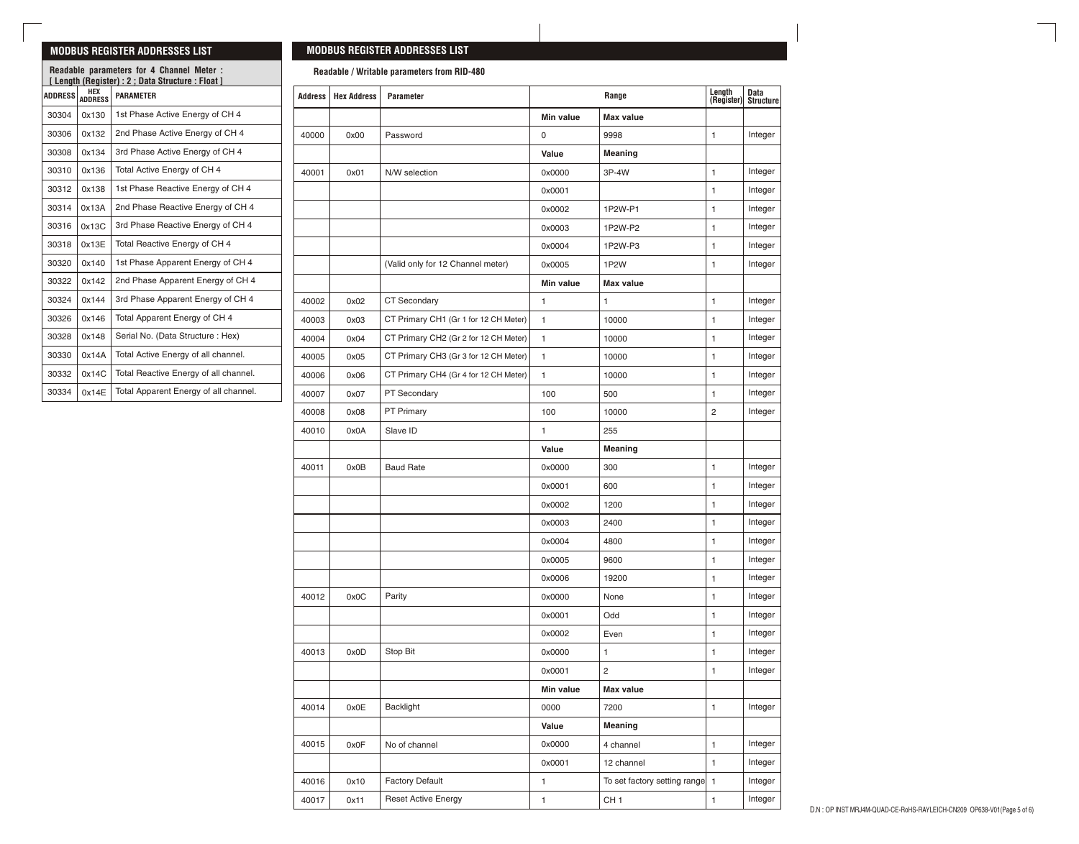### **MODBUS REGISTER ADDRESSES LIST**

**ADDRESS HEX** 

0x130 0x132 0x134 0x136 0x138 0x13A 0x13C 0x13E 0x140 0x142 0x144 0x146 0x148 0x14A 0x14C 0x14E

**ADDRESS**

## **MODBUS REGISTER ADDRESSES LIST**

**Readable / Writable parameters from RID-480**

| <b>PARAMETER</b>                      |  | Address | <b>Hex Address</b> | <b>Parameter</b>                      |                     | Range                          | Length<br>(Register) | Data<br>Structur |
|---------------------------------------|--|---------|--------------------|---------------------------------------|---------------------|--------------------------------|----------------------|------------------|
| 1st Phase Active Energy of CH 4       |  |         |                    |                                       | Min value           | <b>Max value</b>               |                      |                  |
| 2nd Phase Active Energy of CH 4       |  | 40000   | 0x00               | Password                              | $\mathsf{O}\xspace$ | 9998                           | $\mathbf{1}$         | Integer          |
| 3rd Phase Active Energy of CH 4       |  |         |                    |                                       | Value               | Meaning                        |                      |                  |
| Total Active Energy of CH 4           |  | 40001   | 0x01               | N/W selection                         | 0x0000              | 3P-4W                          | $\mathbf{1}$         | Integer          |
| 1st Phase Reactive Energy of CH 4     |  |         |                    |                                       | 0x0001              |                                | $\mathbf{1}$         | Integer          |
| 2nd Phase Reactive Energy of CH 4     |  |         |                    |                                       | 0x0002              | 1P2W-P1                        | $\mathbf{1}$         | Integer          |
| 3rd Phase Reactive Energy of CH 4     |  |         |                    |                                       | 0x0003              | 1P2W-P2                        | 1                    | Integer          |
| Total Reactive Energy of CH 4         |  |         |                    |                                       | 0x0004              | 1P2W-P3                        | $\mathbf{1}$         | Integer          |
| 1st Phase Apparent Energy of CH 4     |  |         |                    | (Valid only for 12 Channel meter)     | 0x0005              | 1P <sub>2</sub> W              | $\mathbf{1}$         | Integer          |
| 2nd Phase Apparent Energy of CH 4     |  |         |                    |                                       | Min value           | <b>Max value</b>               |                      |                  |
| 3rd Phase Apparent Energy of CH 4     |  | 40002   | 0x02               | CT Secondary                          | $\mathbf{1}$        | $\mathbf{1}$                   | $\mathbf{1}$         | Integer          |
| Total Apparent Energy of CH 4         |  | 40003   | 0x03               | CT Primary CH1 (Gr 1 for 12 CH Meter) | $\mathbf{1}$        | 10000                          | 1                    | Integer          |
| Serial No. (Data Structure: Hex)      |  | 40004   | 0x04               | CT Primary CH2 (Gr 2 for 12 CH Meter) | $\overline{1}$      | 10000                          | 1                    | Integer          |
| Total Active Energy of all channel.   |  | 40005   | 0x05               | CT Primary CH3 (Gr 3 for 12 CH Meter) | $\mathbf{1}$        | 10000                          | $\mathbf{1}$         | Integer          |
| Total Reactive Energy of all channel. |  | 40006   | 0x06               | CT Primary CH4 (Gr 4 for 12 CH Meter) | 1                   | 10000                          | $\mathbf{1}$         | Integer          |
| Total Apparent Energy of all channel. |  | 40007   | 0x07               | PT Secondary                          | 100                 | 500                            | $\mathbf{1}$         | Integer          |
|                                       |  | 40008   | 0x08               | PT Primary                            | 100                 | 10000                          | $\overline{c}$       | Integer          |
|                                       |  | 40010   | 0x0A               | Slave ID                              | $\mathbf{1}$        | 255                            |                      |                  |
|                                       |  |         |                    |                                       | Value               | Meaning                        |                      |                  |
|                                       |  | 40011   | 0x0B               | <b>Baud Rate</b>                      | 0x0000              | 300                            | $\mathbf{1}$         | Integer          |
|                                       |  |         |                    |                                       | 0x0001              | 600                            | 1                    | Integer          |
|                                       |  |         |                    |                                       | 0x0002              | 1200                           | $\mathbf{1}$         | Integer          |
|                                       |  |         |                    |                                       | 0x0003              | 2400                           | 1                    | Integer          |
|                                       |  |         |                    |                                       | 0x0004              | 4800                           | 1                    | Integer          |
|                                       |  |         |                    |                                       | 0x0005              | 9600                           | $\mathbf{1}$         | Integer          |
|                                       |  |         |                    |                                       | 0x0006              | 19200                          | $\mathbf{1}$         | Integer          |
|                                       |  | 40012   | 0x0C               | Parity                                | 0x0000              | None                           | $\mathbf{1}$         | Integer          |
|                                       |  |         |                    |                                       | 0x0001              | Odd                            | $\mathbf{1}$         | Integer          |
|                                       |  |         |                    |                                       | 0x0002              | Even                           | 1                    | Integer          |
|                                       |  | 40013   | 0x0D               | Stop Bit                              | 0x0000              | $\mathbf{1}$                   | $\mathbf{1}$         | Integer          |
|                                       |  |         |                    |                                       | 0x0001              | 2                              | $\mathbf{1}$         | Integer          |
|                                       |  |         |                    |                                       | Min value           | Max value                      |                      |                  |
|                                       |  | 40014   | 0x0E               | Backlight                             | 0000                | 7200                           | $\mathbf{1}$         | Integer          |
|                                       |  |         |                    |                                       | Value               | Meaning                        |                      |                  |
|                                       |  | 40015   | 0x0F               | No of channel                         | 0x0000              | 4 channel                      | $\mathbf{1}$         | Integer          |
|                                       |  |         |                    |                                       | 0x0001              | 12 channel                     | $\mathbf{1}$         | Integer          |
|                                       |  | 40016   | 0x10               | <b>Factory Default</b>                | 1                   | To set factory setting range 1 |                      | Integer          |
|                                       |  | 40017   | 0x11               | <b>Reset Active Energy</b>            | $\mathbf{1}$        | CH <sub>1</sub>                | $\mathbf{1}$         | Integer          |

**Readable parameters for 4 Channel Meter : [ Length (Register) : 2 ; Data Structure : Float ]**